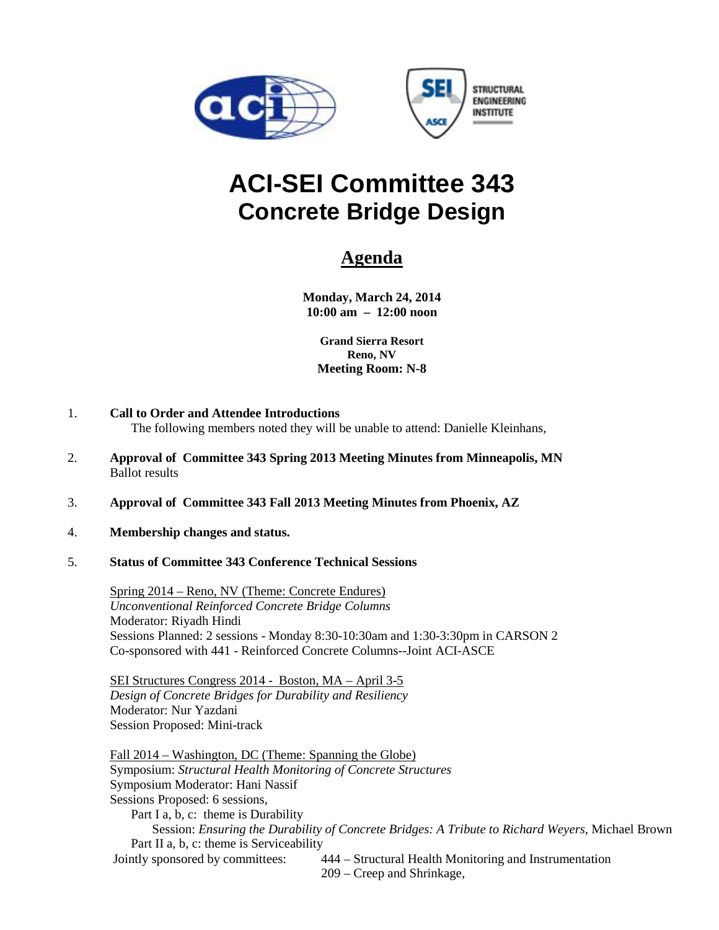



# **Concrete Bridge Design**

# **Agenda**

**Monday, March 24, 2014 10:00 am – 12:00 noon**

**Grand Sierra Resort Reno, NV Meeting Room: N-8**

- 1. **Call to Order and Attendee Introductions** The following members noted they will be unable to attend: Danielle Kleinhans,
- 2. **Approval of Committee 343 Spring 2013 Meeting Minutes from Minneapolis, MN** Ballot results
- 3. **Approval of Committee 343 Fall 2013 Meeting Minutes from Phoenix, AZ**
- 4. **Membership changes and status.**
- 5. **Status of Committee 343 Conference Technical Sessions**

Spring 2014 – Reno, NV (Theme: Concrete Endures) *Unconventional Reinforced Concrete Bridge Columns* Moderator: Riyadh Hindi Sessions Planned: 2 sessions - Monday 8:30-10:30am and 1:30-3:30pm in CARSON 2 Co-sponsored with 441 - Reinforced Concrete Columns--Joint ACI-ASCE

SEI Structures Congress 2014 - Boston, MA – April 3-5 *Design of Concrete Bridges for Durability and Resiliency* Moderator: Nur Yazdani Session Proposed: Mini-track

Fall 2014 – Washington, DC (Theme: Spanning the Globe) Symposium: *Structural Health Monitoring of Concrete Structures* Symposium Moderator: Hani Nassif Sessions Proposed: 6 sessions, Part I a, b, c: theme is Durability Session: *Ensuring the Durability of Concrete Bridges: A Tribute to Richard Weyers*, Michael Brown Part II a, b, c: theme is Serviceability<br>Jointly sponsored by committees: 444 – Structural Health Monitoring and Instrumentation 209 – Creep and Shrinkage,